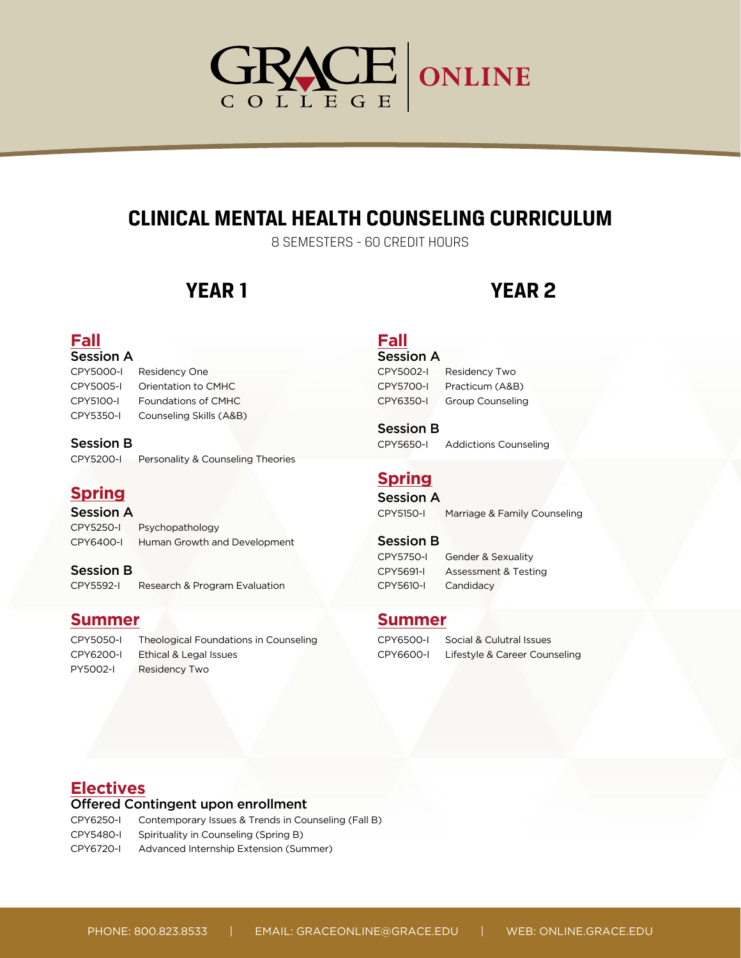# GRACE ONLINE

# **CLINICAL MENTAL HEALTH COUNSELING CURRICULUM**

8 SEMESTERS - 60 CREDIT HOURS

# **YEAR 1 YEAR 2**

## **Fall**

| <b>Session A</b> |
|------------------|
| CDMFAAA          |

| CPY5000-I | Residency One              |
|-----------|----------------------------|
| CPY5005-I | Orientation to CMHC        |
| CPY5100-I | <b>Foundations of CMHC</b> |
| CPY5350-I | Counseling Skills (A&B)    |

#### Session B

CPY5200-I Personality & Counseling Theories

## **Spring**

Session A

CPY5250-I Psychopathology CPY6400-I Human Growth and Development

Session B CPY5592-I Research & Program Evaluation

#### **Summer**

CPY5050-I Theological Foundations in Counseling CPY6200-I Ethical & Legal Issues PY5002-I Residency Two

# **Fall**

#### Session A

CPY5002-I Residency Two CPY5700-I Practicum (A&B) CPY6350-I Group Counseling

Session B CPY5650-I Addictions Counseling

## **Spring**

Session A

CPY5150-I Marriage & Family Counseling

#### Session B

CPY5610-I Candidacy

CPY5750-I Gender & Sexuality CPY5691-I Assessment & Testing

#### **Summer**

CPY6500-I Social & Culutral Issues CPY6600-I Lifestyle & Career Counseling

### **Electives**

#### Offered Contingent upon enrollment

CPY6250-I Contemporary Issues & Trends in Counseling (Fall B)

CPY5480-I Spirituality in Counseling (Spring B)

CPY6720-I Advanced Internship Extension (Summer)